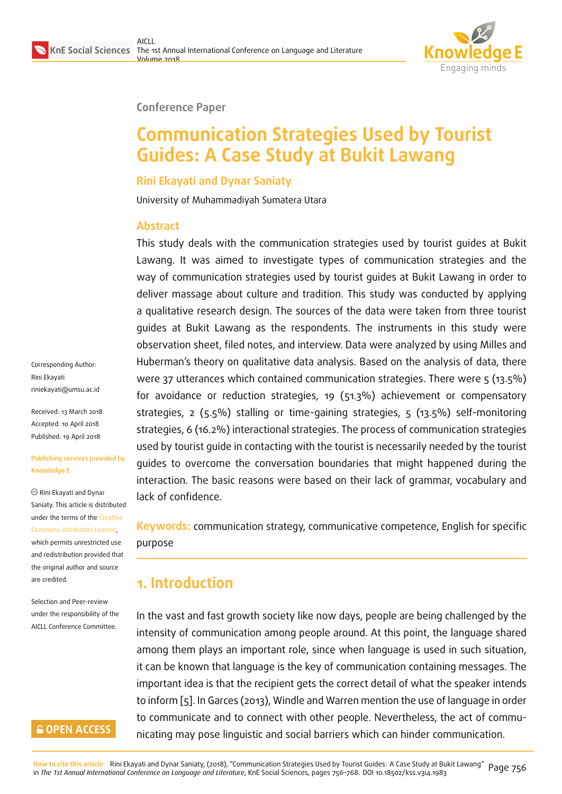

#### **Conference Paper**

# **Communication Strategies Used by Tourist Guides: A Case Study at Bukit Lawang**

#### **Rini Ekayati and Dynar Saniaty**

University of Muhammadiyah Sumatera Utara

#### **Abstract**

This study deals with the communication strategies used by tourist guides at Bukit Lawang. It was aimed to investigate types of communication strategies and the way of communication strategies used by tourist guides at Bukit Lawang in order to deliver massage about culture and tradition. This study was conducted by applying a qualitative research design. The sources of the data were taken from three tourist guides at Bukit Lawang as the respondents. The instruments in this study were observation sheet, filed notes, and interview. Data were analyzed by using Milles and Huberman's theory on qualitative data analysis. Based on the analysis of data, there were 37 utterances which contained communication strategies. There were 5 (13.5%) for avoidance or reduction strategies, 19 (51.3%) achievement or compensatory strategies, 2 (5.5%) stalling or time-gaining strategies, 5 (13.5%) self-monitoring strategies, 6 (16.2%) interactional strategies. The process of communication strategies used by tourist guide in contacting with the tourist is necessarily needed by the tourist guides to overcome the conversation boundaries that might happened during the interaction. The basic reasons were based on their lack of grammar, vocabulary and lack of confidence.

**Keywords:** communication strategy, communicative competence, English for specific purpose

## **1. Introduction**

In the vast and fast growth society like now days, people are being challenged by the intensity of communication among people around. At this point, the language shared among them plays an important role, since when language is used in such situation, it can be known that language is the key of communication containing messages. The important idea is that the recipient gets the correct detail of what the speaker intends to inform [5]. In Garces (2013), Windle and Warren mention the use of language in order to communicate and to connect with other people. Nevertheless, the act of communicating may pose linguistic and social barriers which can hinder communication.

Corresponding Author: Rini Ekayati riniekayati@umsu.ac.id

Received: 13 March 2018 Accepted: 10 April 2018 [Published: 19 April 2018](mailto:riniekayati@umsu.ac.id)

#### **Publishing services provided by Knowledge E**

Rini Ekayati and Dynar Saniaty. This article is distributed under the terms of the Creative Commons Attribution License,

which permits unrestricted use and redistribution provided that the original author and [source](https://creativecommons.org/licenses/by/4.0/) [are credited.](https://creativecommons.org/licenses/by/4.0/)

Selection and Peer-review under the responsibility of the AICLL Conference Committee.

### **GOPEN ACCESS**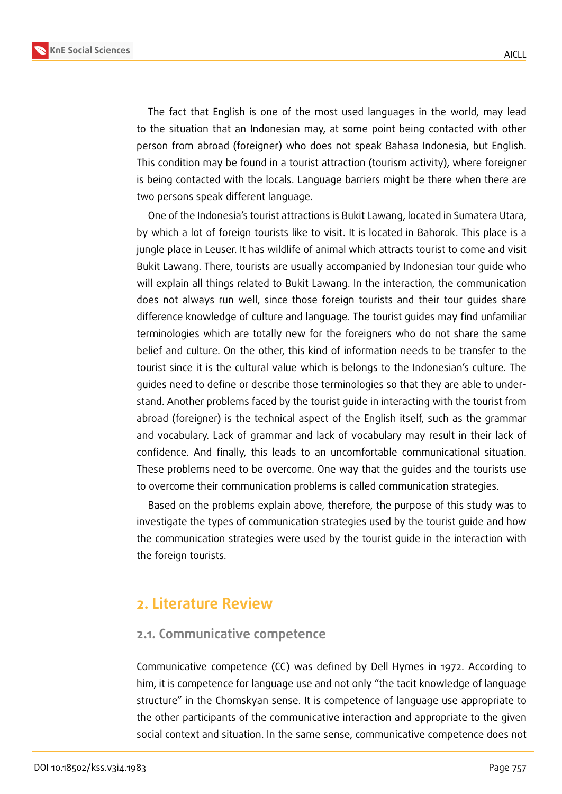

The fact that English is one of the most used languages in the world, may lead to the situation that an Indonesian may, at some point being contacted with other person from abroad (foreigner) who does not speak Bahasa Indonesia, but English. This condition may be found in a tourist attraction (tourism activity), where foreigner is being contacted with the locals. Language barriers might be there when there are two persons speak different language.

One of the Indonesia's tourist attractions is Bukit Lawang, located in Sumatera Utara, by which a lot of foreign tourists like to visit. It is located in Bahorok. This place is a jungle place in Leuser. It has wildlife of animal which attracts tourist to come and visit Bukit Lawang. There, tourists are usually accompanied by Indonesian tour guide who will explain all things related to Bukit Lawang. In the interaction, the communication does not always run well, since those foreign tourists and their tour guides share difference knowledge of culture and language. The tourist guides may find unfamiliar terminologies which are totally new for the foreigners who do not share the same belief and culture. On the other, this kind of information needs to be transfer to the tourist since it is the cultural value which is belongs to the Indonesian's culture. The guides need to define or describe those terminologies so that they are able to understand. Another problems faced by the tourist guide in interacting with the tourist from abroad (foreigner) is the technical aspect of the English itself, such as the grammar and vocabulary. Lack of grammar and lack of vocabulary may result in their lack of confidence. And finally, this leads to an uncomfortable communicational situation. These problems need to be overcome. One way that the guides and the tourists use to overcome their communication problems is called communication strategies.

Based on the problems explain above, therefore, the purpose of this study was to investigate the types of communication strategies used by the tourist guide and how the communication strategies were used by the tourist guide in the interaction with the foreign tourists.

## **2. Literature Review**

### **2.1. Communicative competence**

Communicative competence (CC) was defined by Dell Hymes in 1972. According to him, it is competence for language use and not only "the tacit knowledge of language structure" in the Chomskyan sense. It is competence of language use appropriate to the other participants of the communicative interaction and appropriate to the given social context and situation. In the same sense, communicative competence does not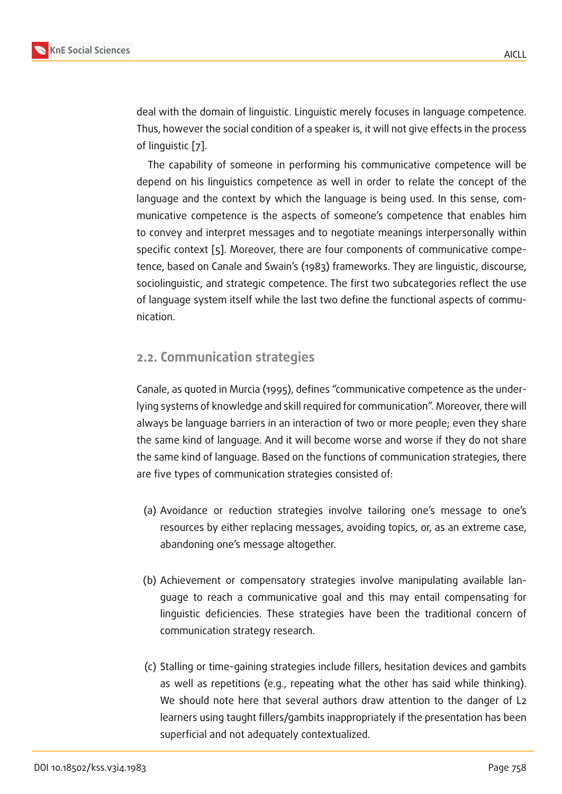deal with the domain of linguistic. Linguistic merely focuses in language competence. Thus, however the social condition of a speaker is, it will not give effects in the process of linguistic [7].

The capability of someone in performing his communicative competence will be depend on his linguistics competence as well in order to relate the concept of the language an[d](#page-11-0) the context by which the language is being used. In this sense, communicative competence is the aspects of someone's competence that enables him to convey and interpret messages and to negotiate meanings interpersonally within specific context [5]. Moreover, there are four components of communicative competence, based on Canale and Swain's (1983) frameworks. They are linguistic, discourse, sociolinguistic, and strategic competence. The first two subcategories reflect the use of language syst[em](#page-11-1) itself while the last two define the functional aspects of communication.

### **2.2. Communication strategies**

Canale, as quoted in Murcia (1995), defines "communicative competence as the underlying systems of knowledge and skill required for communication". Moreover, there will always be language barriers in an interaction of two or more people; even they share the same kind of language. And it will become worse and worse if they do not share the same kind of language. Based on the functions of communication strategies, there are five types of communication strategies consisted of:

- (a) Avoidance or reduction strategies involve tailoring one's message to one's resources by either replacing messages, avoiding topics, or, as an extreme case, abandoning one's message altogether.
- (b) Achievement or compensatory strategies involve manipulating available language to reach a communicative goal and this may entail compensating for linguistic deficiencies. These strategies have been the traditional concern of communication strategy research.
- (c) Stalling or time-gaining strategies include fillers, hesitation devices and gambits as well as repetitions (e.g., repeating what the other has said while thinking). We should note here that several authors draw attention to the danger of L2 learners using taught fillers/gambits inappropriately if the presentation has been superficial and not adequately contextualized.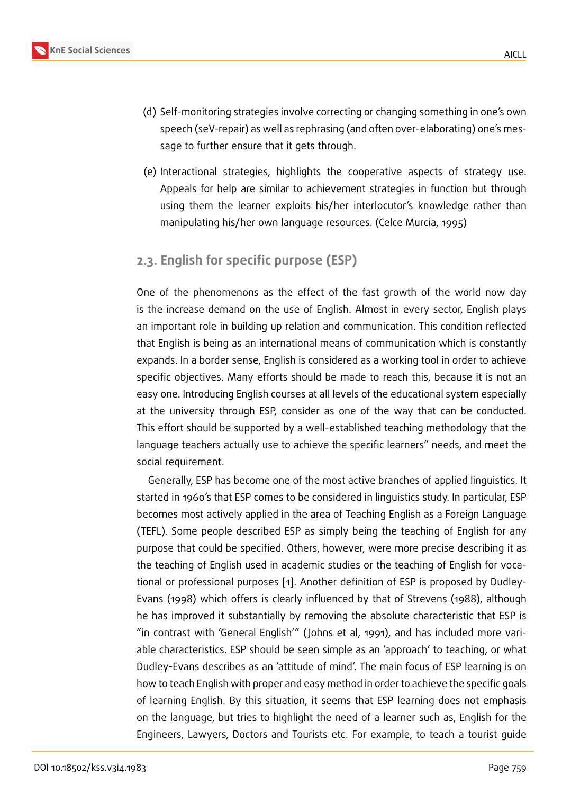- (d) Self-monitoring strategies involve correcting or changing something in one's own speech (seV-repair) as well as rephrasing (and often over-elaborating) one's message to further ensure that it gets through.
- (e) Interactional strategies, highlights the cooperative aspects of strategy use. Appeals for help are similar to achievement strategies in function but through using them the learner exploits his/her interlocutor's knowledge rather than manipulating his/her own language resources. (Celce Murcia, 1995)

## **2.3. English for specific purpose (ESP)**

One of the phenomenons as the effect of the fast growth of the world now day is the increase demand on the use of English. Almost in every sector, English plays an important role in building up relation and communication. This condition reflected that English is being as an international means of communication which is constantly expands. In a border sense, English is considered as a working tool in order to achieve specific objectives. Many efforts should be made to reach this, because it is not an easy one. Introducing English courses at all levels of the educational system especially at the university through ESP, consider as one of the way that can be conducted. This effort should be supported by a well-established teaching methodology that the language teachers actually use to achieve the specific learners" needs, and meet the social requirement.

Generally, ESP has become one of the most active branches of applied linguistics. It started in 1960's that ESP comes to be considered in linguistics study. In particular, ESP becomes most actively applied in the area of Teaching English as a Foreign Language (TEFL). Some people described ESP as simply being the teaching of English for any purpose that could be specified. Others, however, were more precise describing it as the teaching of English used in academic studies or the teaching of English for vocational or professional purposes [1]. Another definition of ESP is proposed by Dudley-Evans (1998) which offers is clearly influenced by that of Strevens (1988), although he has improved it substantially by removing the absolute characteristic that ESP is "in contrast with 'General Engli[sh](#page-11-2)'" ( Johns et al, 1991), and has included more variable characteristics. ESP should be seen simple as an 'approach' to teaching, or what Dudley-Evans describes as an 'attitude of mind'. The main focus of ESP learning is on how to teach English with proper and easy method in order to achieve the specific goals of learning English. By this situation, it seems that ESP learning does not emphasis on the language, but tries to highlight the need of a learner such as, English for the Engineers, Lawyers, Doctors and Tourists etc. For example, to teach a tourist guide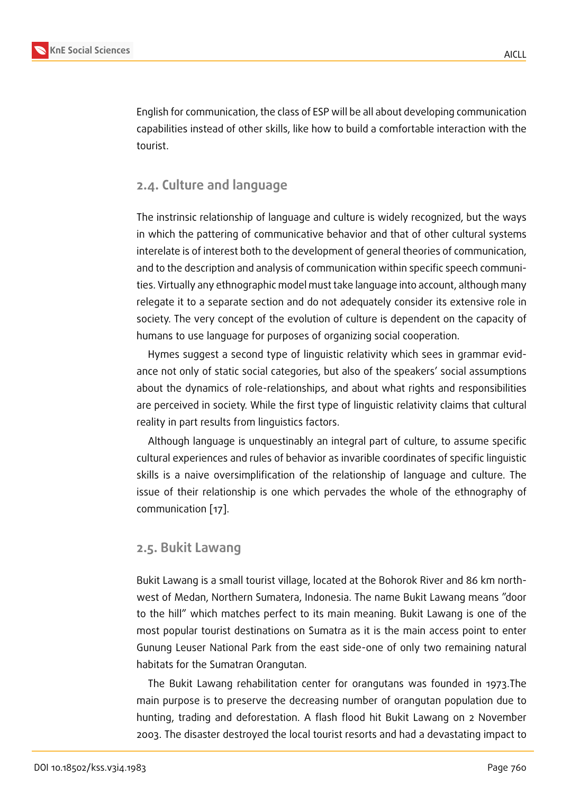English for communication, the class of ESP will be all about developing communication capabilities instead of other skills, like how to build a comfortable interaction with the tourist.

### **2.4. Culture and language**

The instrinsic relationship of language and culture is widely recognized, but the ways in which the pattering of communicative behavior and that of other cultural systems interelate is of interest both to the development of general theories of communication, and to the description and analysis of communication within specific speech communities. Virtually any ethnographic model must take language into account, although many relegate it to a separate section and do not adequately consider its extensive role in society. The very concept of the evolution of culture is dependent on the capacity of humans to use language for purposes of organizing social cooperation.

Hymes suggest a second type of linguistic relativity which sees in grammar evidance not only of static social categories, but also of the speakers' social assumptions about the dynamics of role-relationships, and about what rights and responsibilities are perceived in society. While the first type of linguistic relativity claims that cultural reality in part results from linguistics factors.

Although language is unquestinably an integral part of culture, to assume specific cultural experiences and rules of behavior as invarible coordinates of specific linguistic skills is a naive oversimplification of the relationship of language and culture. The issue of their relationship is one which pervades the whole of the ethnography of communication [17].

### **2.5. Bukit La[wa](#page-12-0)ng**

Bukit Lawang is a small tourist village, located at the Bohorok River and 86 km northwest of Medan, Northern Sumatera, Indonesia. The name Bukit Lawang means "door to the hill" which matches perfect to its main meaning. Bukit Lawang is one of the most popular tourist destinations on Sumatra as it is the main access point to enter Gunung Leuser National Park from the east side-one of only two remaining natural habitats for the Sumatran Orangutan.

The Bukit Lawang rehabilitation center for orangutans was founded in 1973.The main purpose is to preserve the decreasing number of orangutan population due to hunting, trading and deforestation. A flash flood hit Bukit Lawang on 2 November 2003. The disaster destroyed the local tourist resorts and had a devastating impact to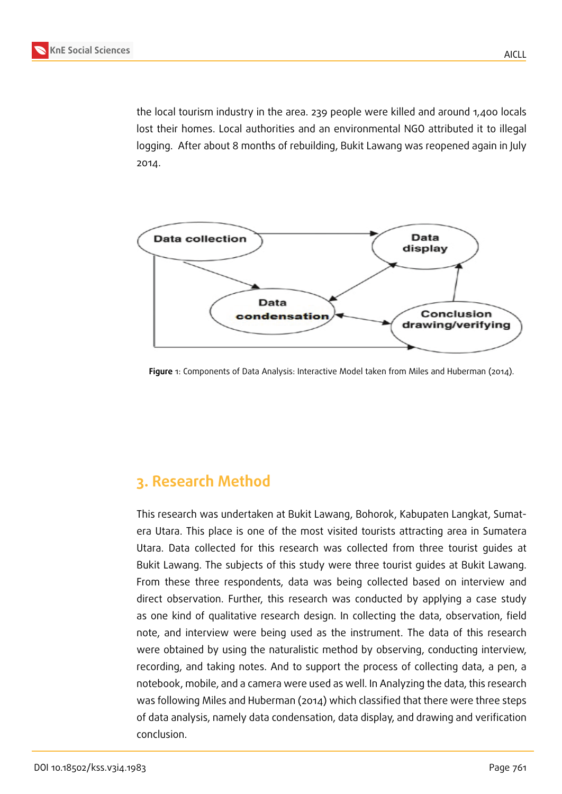the local tourism industry in the area. 239 people were killed and around 1,400 locals lost their homes. Local authorities and an environmental NGO attributed it to illegal logging. After about 8 months of rebuilding, Bukit Lawang was reopened again in July 2014.



**Figure** 1: Components of Data Analysis: Interactive Model taken from Miles and Huberman (2014).

## **3. Research Method**

This research was undertaken at Bukit Lawang, Bohorok, Kabupaten Langkat, Sumatera Utara. This place is one of the most visited tourists attracting area in Sumatera Utara. Data collected for this research was collected from three tourist guides at Bukit Lawang. The subjects of this study were three tourist guides at Bukit Lawang. From these three respondents, data was being collected based on interview and direct observation. Further, this research was conducted by applying a case study as one kind of qualitative research design. In collecting the data, observation, field note, and interview were being used as the instrument. The data of this research were obtained by using the naturalistic method by observing, conducting interview, recording, and taking notes. And to support the process of collecting data, a pen, a notebook, mobile, and a camera were used as well. In Analyzing the data, this research was following Miles and Huberman (2014) which classified that there were three steps of data analysis, namely data condensation, data display, and drawing and verification conclusion.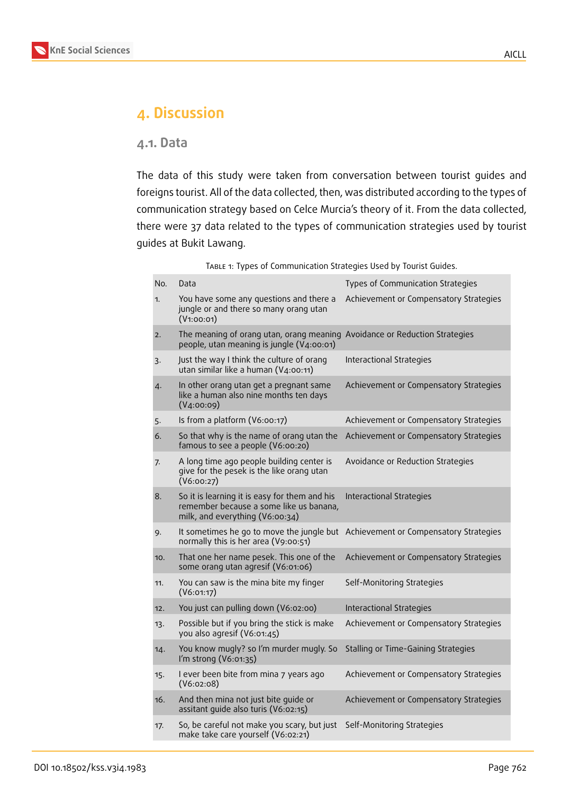## **4. Discussion**

#### **4.1. Data**

The data of this study were taken from conversation between tourist guides and foreigns tourist. All of the data collected, then, was distributed according to the types of communication strategy based on Celce Murcia's theory of it. From the data collected, there were 37 data related to the types of communication strategies used by tourist guides at Bukit Lawang.

| TABLE 1: Types of Communication Strategies Used by Tourist Guides. |  |  |  |  |  |
|--------------------------------------------------------------------|--|--|--|--|--|
|--------------------------------------------------------------------|--|--|--|--|--|

| No. | Data                                                                                                                        | Types of Communication Strategies      |
|-----|-----------------------------------------------------------------------------------------------------------------------------|----------------------------------------|
| 1.  | You have some any questions and there a<br>jungle or and there so many orang utan<br>(V1:00:01)                             | Achievement or Compensatory Strategies |
| 2.  | The meaning of orang utan, orang meaning Avoidance or Reduction Strategies<br>people, utan meaning is jungle (V4:00:01)     |                                        |
| 3.  | Just the way I think the culture of orang<br>utan similar like a human (V4:00:11)                                           | Interactional Strategies               |
| 4.  | In other orang utan get a pregnant same<br>like a human also nine months ten days<br>(V4:00:09)                             | Achievement or Compensatory Strategies |
| 5.  | Is from a platform (V6:00:17)                                                                                               | Achievement or Compensatory Strategies |
| 6.  | So that why is the name of orang utan the<br>famous to see a people (V6:00:20)                                              | Achievement or Compensatory Strategies |
| 7.  | A long time ago people building center is<br>give for the pesek is the like orang utan<br>(V6:00:27)                        | Avoidance or Reduction Strategies      |
| 8.  | So it is learning it is easy for them and his<br>remember because a some like us banana,<br>milk, and everything (V6:00:34) | Interactional Strategies               |
| 9.  | It sometimes he go to move the jungle but Achievement or Compensatory Strategies<br>normally this is her area (V9:00:51)    |                                        |
| 10. | That one her name pesek. This one of the<br>some orang utan agresif (V6:01:06)                                              | Achievement or Compensatory Strategies |
| 11. | You can saw is the mina bite my finger<br>(V6:01:17)                                                                        | Self-Monitoring Strategies             |
| 12. | You just can pulling down (V6:02:00)                                                                                        | <b>Interactional Strategies</b>        |
| 13. | Possible but if you bring the stick is make<br>you also agresif (V6:01:45)                                                  | Achievement or Compensatory Strategies |
| 14. | You know mugly? so I'm murder mugly. So<br>I'm strong (V6:01:35)                                                            | Stalling or Time-Gaining Strategies    |
| 15. | I ever been bite from mina 7 years ago<br>(V6:02:08)                                                                        | Achievement or Compensatory Strategies |
| 16. | And then mina not just bite guide or<br>assitant guide also turis (V6:02:15)                                                | Achievement or Compensatory Strategies |
| 17. | So, be careful not make you scary, but just<br>make take care yourself (V6:02:21)                                           | Self-Monitoring Strategies             |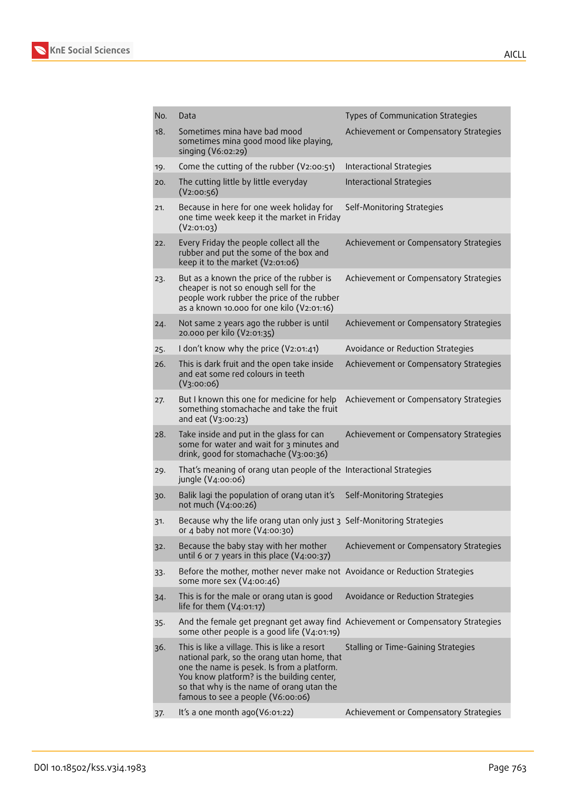

| No. | Data                                                                                                                                                                                                                                                                       | Types of Communication Strategies      |
|-----|----------------------------------------------------------------------------------------------------------------------------------------------------------------------------------------------------------------------------------------------------------------------------|----------------------------------------|
| 18. | Sometimes mina have bad mood<br>sometimes mina good mood like playing,<br>singing (V6:02:29)                                                                                                                                                                               | Achievement or Compensatory Strategies |
| 19. | Come the cutting of the rubber (V2:00:51)                                                                                                                                                                                                                                  | Interactional Strategies               |
| 20. | The cutting little by little everyday<br>(V2:00:56)                                                                                                                                                                                                                        | Interactional Strategies               |
| 21. | Because in here for one week holiday for<br>one time week keep it the market in Friday<br>(V2:01:03)                                                                                                                                                                       | Self-Monitoring Strategies             |
| 22. | Every Friday the people collect all the<br>rubber and put the some of the box and<br>keep it to the market (V2:01:06)                                                                                                                                                      | Achievement or Compensatory Strategies |
| 23. | But as a known the price of the rubber is<br>cheaper is not so enough sell for the<br>people work rubber the price of the rubber<br>as a known 10.000 for one kilo (V2:01:16)                                                                                              | Achievement or Compensatory Strategies |
| 24. | Not same 2 years ago the rubber is until<br>20.000 per kilo (V2:01:35)                                                                                                                                                                                                     | Achievement or Compensatory Strategies |
| 25. | I don't know why the price (V2:01:41)                                                                                                                                                                                                                                      | Avoidance or Reduction Strategies      |
| 26. | This is dark fruit and the open take inside<br>and eat some red colours in teeth<br>(V3:00:06)                                                                                                                                                                             | Achievement or Compensatory Strategies |
| 27. | But I known this one for medicine for help<br>something stomachache and take the fruit<br>and eat (V3:00:23)                                                                                                                                                               | Achievement or Compensatory Strategies |
| 28. | Take inside and put in the glass for can<br>some for water and wait for 3 minutes and<br>drink, good for stomachache (V3:00:36)                                                                                                                                            | Achievement or Compensatory Strategies |
| 29. | That's meaning of orang utan people of the Interactional Strategies<br>jungle (V4:00:06)                                                                                                                                                                                   |                                        |
| 30. | Balik lagi the population of orang utan it's<br>not much (V4:00:26)                                                                                                                                                                                                        | Self-Monitoring Strategies             |
| 31. | Because why the life orang utan only just 3 Self-Monitoring Strategies<br>or 4 baby not more (V4:00:30)                                                                                                                                                                    |                                        |
| 32. | Because the baby stay with her mother<br>until 6 or 7 years in this place $(V_4:oo:37)$                                                                                                                                                                                    | Achievement or Compensatory Strategies |
| 33. | Before the mother, mother never make not Avoidance or Reduction Strategies<br>some more sex (V4:00:46)                                                                                                                                                                     |                                        |
| 34. | This is for the male or orang utan is good<br>life for them $(V_4:01:17)$                                                                                                                                                                                                  | Avoidance or Reduction Strategies      |
| 35. | And the female get pregnant get away find Achievement or Compensatory Strategies<br>some other people is a good life (V4:01:19)                                                                                                                                            |                                        |
| 36. | This is like a village. This is like a resort<br>national park, so the orang utan home, that<br>one the name is pesek. Is from a platform.<br>You know platform? is the building center,<br>so that why is the name of orang utan the<br>famous to see a people (V6:00:06) | Stalling or Time-Gaining Strategies    |
| 37. | It's a one month ago(V6:01:22)                                                                                                                                                                                                                                             | Achievement or Compensatory Strategies |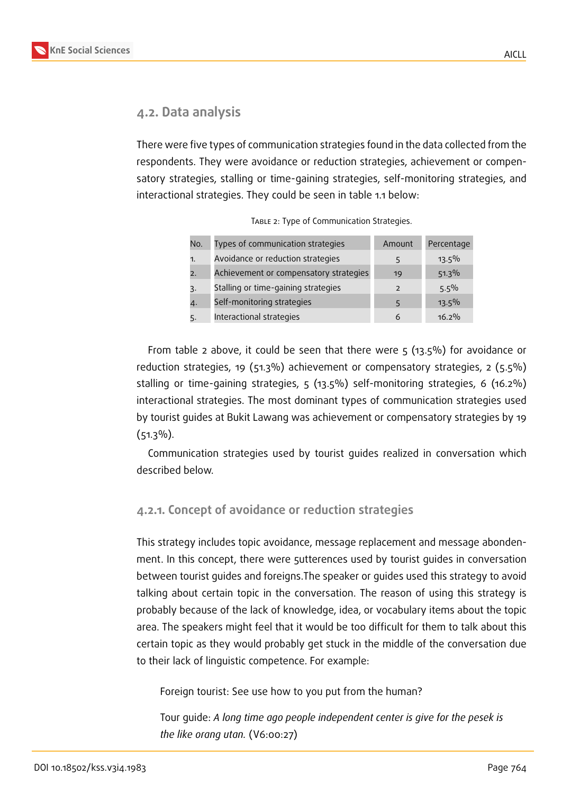

### **4.2. Data analysis**

There were five types of communication strategies found in the data collected from the respondents. They were avoidance or reduction strategies, achievement or compensatory strategies, stalling or time-gaining strategies, self-monitoring strategies, and interactional strategies. They could be seen in table 1.1 below:

| No. | Types of communication strategies      | Amount                   | Percentage |
|-----|----------------------------------------|--------------------------|------------|
| 1.  | Avoidance or reduction strategies      | 5                        | $13.5\%$   |
| 2.  | Achievement or compensatory strategies | 19                       | 51.3%      |
| 3.  | Stalling or time-gaining strategies    | $\overline{\phantom{0}}$ | $5.5\%$    |
| 4.  | Self-monitoring strategies             | 5                        | $13.5\%$   |
| 5.  | Interactional strategies               | 6                        | $16.2\%$   |

| TABLE 2: Type of Communication Strategies. |
|--------------------------------------------|
|--------------------------------------------|

From table 2 above, it could be seen that there were  $5$  (13.5%) for avoidance or reduction strategies, 19 (51.3%) achievement or compensatory strategies, 2 (5.5%) stalling or time-gaining strategies, 5 (13.5%) self-monitoring strategies, 6 (16.2%) interactional strategies. The most dominant types of communication strategies used by tourist guides at Bukit Lawang was achievement or compensatory strategies by 19  $(51.3\%)$ .

Communication strategies used by tourist guides realized in conversation which described below.

### **4.2.1. Concept of avoidance or reduction strategies**

This strategy includes topic avoidance, message replacement and message abondenment. In this concept, there were 5utterences used by tourist guides in conversation between tourist guides and foreigns.The speaker or guides used this strategy to avoid talking about certain topic in the conversation. The reason of using this strategy is probably because of the lack of knowledge, idea, or vocabulary items about the topic area. The speakers might feel that it would be too difficult for them to talk about this certain topic as they would probably get stuck in the middle of the conversation due to their lack of linguistic competence. For example:

Foreign tourist: See use how to you put from the human?

Tour guide: *A long time ago people independent center is give for the pesek is the like orang utan.* (V6:00:27)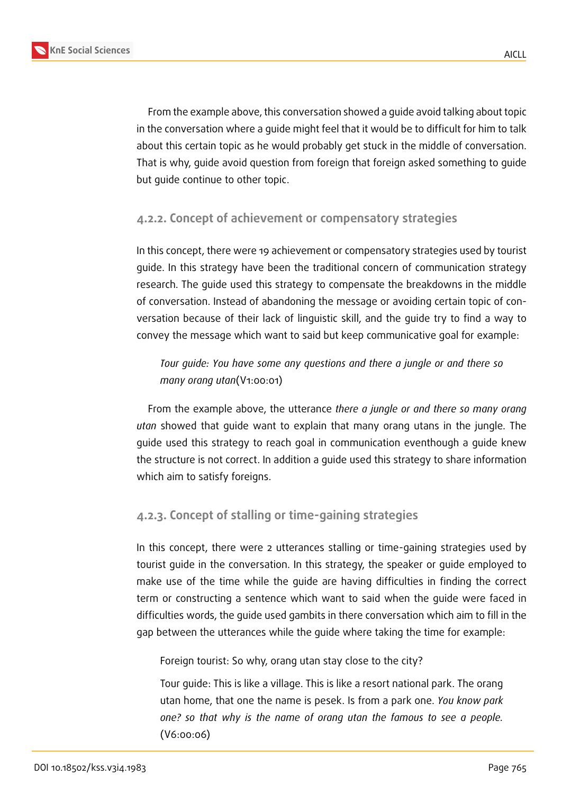From the example above, this conversation showed a guide avoid talking about topic in the conversation where a guide might feel that it would be to difficult for him to talk about this certain topic as he would probably get stuck in the middle of conversation. That is why, guide avoid question from foreign that foreign asked something to guide but guide continue to other topic.

### **4.2.2. Concept of achievement or compensatory strategies**

In this concept, there were 19 achievement or compensatory strategies used by tourist guide. In this strategy have been the traditional concern of communication strategy research. The guide used this strategy to compensate the breakdowns in the middle of conversation. Instead of abandoning the message or avoiding certain topic of conversation because of their lack of linguistic skill, and the guide try to find a way to convey the message which want to said but keep communicative goal for example:

### *Tour guide: You have some any questions and there a jungle or and there so many orang utan*(V1:00:01)

From the example above, the utterance *there a jungle or and there so many orang utan* showed that guide want to explain that many orang utans in the jungle. The guide used this strategy to reach goal in communication eventhough a guide knew the structure is not correct. In addition a guide used this strategy to share information which aim to satisfy foreigns.

### **4.2.3. Concept of stalling or time-gaining strategies**

In this concept, there were 2 utterances stalling or time-gaining strategies used by tourist guide in the conversation. In this strategy, the speaker or guide employed to make use of the time while the guide are having difficulties in finding the correct term or constructing a sentence which want to said when the guide were faced in difficulties words, the guide used gambits in there conversation which aim to fill in the gap between the utterances while the guide where taking the time for example:

Foreign tourist: So why, orang utan stay close to the city?

Tour guide: This is like a village. This is like a resort national park. The orang utan home, that one the name is pesek. Is from a park one. *You know park one? so that why is the name of orang utan the famous to see a people.* (V6:00:06)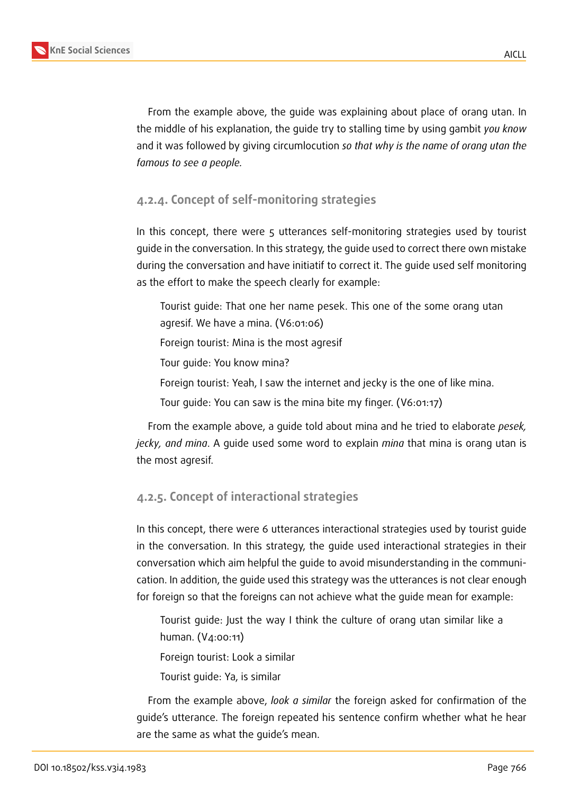

From the example above, the guide was explaining about place of orang utan. In the middle of his explanation, the guide try to stalling time by using gambit *you know* and it was followed by giving circumlocution *so that why is the name of orang utan the famous to see a people.*

### **4.2.4. Concept of self-monitoring strategies**

In this concept, there were 5 utterances self-monitoring strategies used by tourist guide in the conversation. In this strategy, the guide used to correct there own mistake during the conversation and have initiatif to correct it. The guide used self monitoring as the effort to make the speech clearly for example:

Tourist guide: That one her name pesek. This one of the some orang utan agresif. We have a mina. (V6:01:06) Foreign tourist: Mina is the most agresif Tour guide: You know mina? Foreign tourist: Yeah, I saw the internet and jecky is the one of like mina.

Tour guide: You can saw is the mina bite my finger. (V6:01:17)

From the example above, a guide told about mina and he tried to elaborate *pesek, jecky, and mina*. A guide used some word to explain *mina* that mina is orang utan is the most agresif.

### **4.2.5. Concept of interactional strategies**

In this concept, there were 6 utterances interactional strategies used by tourist guide in the conversation. In this strategy, the guide used interactional strategies in their conversation which aim helpful the guide to avoid misunderstanding in the communication. In addition, the guide used this strategy was the utterances is not clear enough for foreign so that the foreigns can not achieve what the guide mean for example:

Tourist guide: Just the way I think the culture of orang utan similar like a human. (V4:00:11)

Foreign tourist: Look a similar

Tourist guide: Ya, is similar

From the example above, *look a similar* the foreign asked for confirmation of the guide's utterance. The foreign repeated his sentence confirm whether what he hear are the same as what the guide's mean.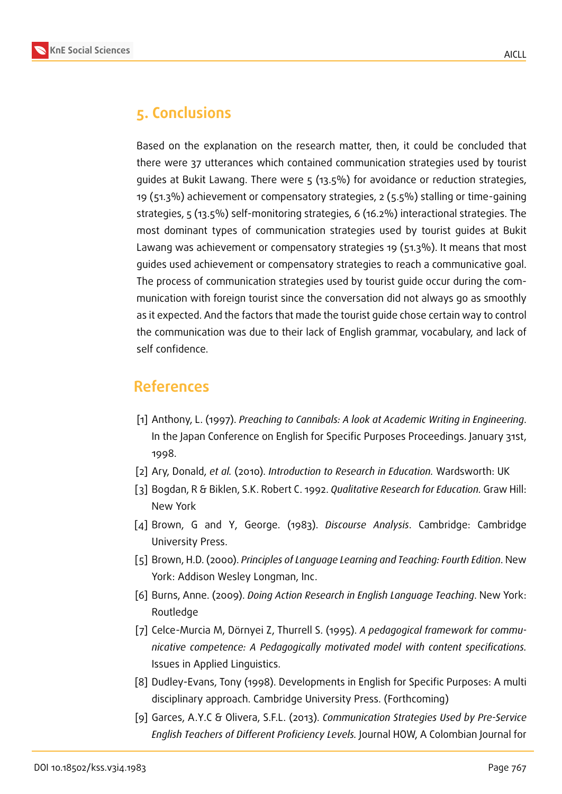

## **5. Conclusions**

Based on the explanation on the research matter, then, it could be concluded that there were 37 utterances which contained communication strategies used by tourist guides at Bukit Lawang. There were 5 (13.5%) for avoidance or reduction strategies, 19 (51.3%) achievement or compensatory strategies, 2 (5.5%) stalling or time-gaining strategies, 5 (13.5%) self-monitoring strategies, 6 (16.2%) interactional strategies. The most dominant types of communication strategies used by tourist guides at Bukit Lawang was achievement or compensatory strategies 19 (51.3%). It means that most guides used achievement or compensatory strategies to reach a communicative goal. The process of communication strategies used by tourist guide occur during the communication with foreign tourist since the conversation did not always go as smoothly as it expected. And the factors that made the tourist guide chose certain way to control the communication was due to their lack of English grammar, vocabulary, and lack of self confidence.

## **References**

- <span id="page-11-2"></span>[1] Anthony, L. (1997). *Preaching to Cannibals: A look at Academic Writing in Engineering*. In the Japan Conference on English for Specific Purposes Proceedings. January 31st, 1998.
- [2] Ary, Donald, *et al.* (2010). *Introduction to Research in Education.* Wardsworth: UK
- [3] Bogdan, R & Biklen, S.K. Robert C. 1992. *Qualitative Research for Education.* Graw Hill: New York
- [4] Brown, G and Y, George. (1983). *Discourse Analysis*. Cambridge: Cambridge University Press.
- <span id="page-11-1"></span>[5] Brown, H.D. (2000). *Principles of Language Learning and Teaching: Fourth Edition*. New York: Addison Wesley Longman, Inc.
- [6] Burns, Anne. (2009). *Doing Action Research in English Language Teaching*. New York: Routledge
- <span id="page-11-0"></span>[7] Celce-Murcia M, Dörnyei Z, Thurrell S. (1995). *A pedagogical framework for communicative competence: A Pedagogically motivated model with content specifications.* Issues in Applied Linguistics.
- [8] Dudley-Evans, Tony (1998). Developments in English for Specific Purposes: A multi disciplinary approach. Cambridge University Press. (Forthcoming)
- [9] Garces, A.Y.C & Olivera, S.F.L. (2013). *Communication Strategies Used by Pre-Service English Teachers of Different Proficiency Levels.* Journal HOW, A Colombian Journal for